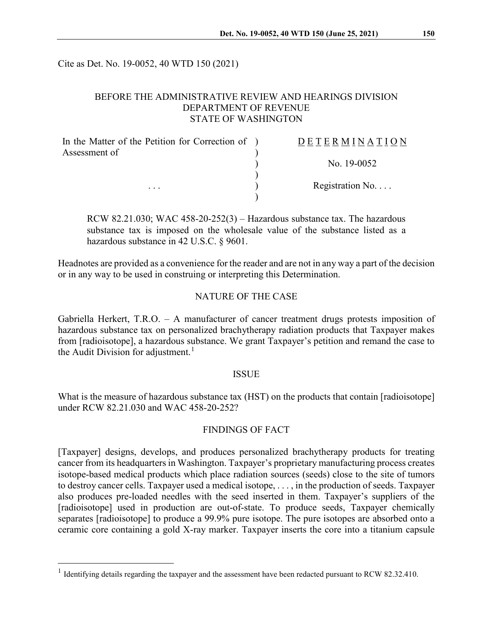Cite as Det. No. 19-0052, 40 WTD 150 (2021)

# BEFORE THE ADMINISTRATIVE REVIEW AND HEARINGS DIVISION DEPARTMENT OF REVENUE STATE OF WASHINGTON

| In the Matter of the Petition for Correction of ) | <b>DETERMINATION</b> |
|---------------------------------------------------|----------------------|
| Assessment of                                     | No. 19-0052          |
|                                                   | Registration No      |
| $\cdots$                                          |                      |

RCW 82.21.030; WAC  $458-20-252(3)$  – Hazardous substance tax. The hazardous substance tax is imposed on the wholesale value of the substance listed as a hazardous substance in 42 U.S.C. § 9601.

Headnotes are provided as a convenience for the reader and are not in any way a part of the decision or in any way to be used in construing or interpreting this Determination.

# NATURE OF THE CASE

Gabriella Herkert, T.R.O. – A manufacturer of cancer treatment drugs protests imposition of hazardous substance tax on personalized brachytherapy radiation products that Taxpayer makes from [radioisotope], a hazardous substance. We grant Taxpayer's petition and remand the case to the Audit Division for adjustment.<sup>[1](#page-0-0)</sup>

#### ISSUE

What is the measure of hazardous substance tax (HST) on the products that contain [radioisotope] under RCW 82.21.030 and WAC 458-20-252?

### FINDINGS OF FACT

[Taxpayer] designs, develops, and produces personalized brachytherapy products for treating cancer from its headquarters in Washington. Taxpayer's proprietary manufacturing process creates isotope-based medical products which place radiation sources (seeds) close to the site of tumors to destroy cancer cells. Taxpayer used a medical isotope, . . . , in the production of seeds. Taxpayer also produces pre-loaded needles with the seed inserted in them. Taxpayer's suppliers of the [radioisotope] used in production are out-of-state. To produce seeds, Taxpayer chemically separates [radioisotope] to produce a 99.9% pure isotope. The pure isotopes are absorbed onto a ceramic core containing a gold X-ray marker. Taxpayer inserts the core into a titanium capsule

<span id="page-0-0"></span><sup>&</sup>lt;sup>1</sup> Identifying details regarding the taxpayer and the assessment have been redacted pursuant to RCW 82.32.410.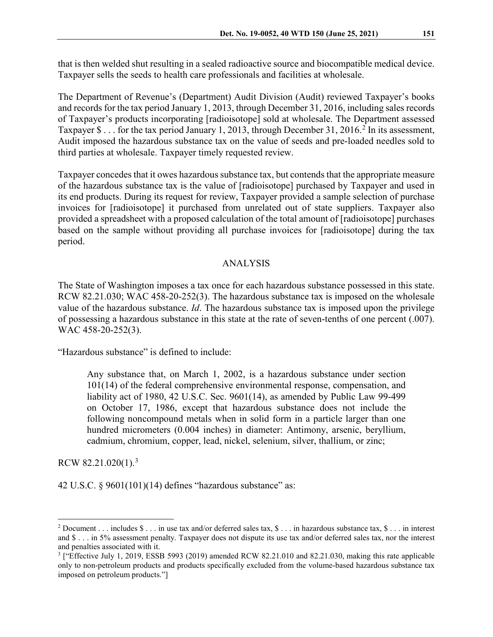that is then welded shut resulting in a sealed radioactive source and biocompatible medical device. Taxpayer sells the seeds to health care professionals and facilities at wholesale.

The Department of Revenue's (Department) Audit Division (Audit) reviewed Taxpayer's books and records for the tax period January 1, 2013, through December 31, 2016, including sales records of Taxpayer's products incorporating [radioisotope] sold at wholesale. The Department assessed Taxpayer \$ . . . for the tax period January 1, [2](#page-1-0)013, through December 31, 2016.<sup>2</sup> In its assessment, Audit imposed the hazardous substance tax on the value of seeds and pre-loaded needles sold to third parties at wholesale. Taxpayer timely requested review.

Taxpayer concedes that it owes hazardous substance tax, but contends that the appropriate measure of the hazardous substance tax is the value of [radioisotope] purchased by Taxpayer and used in its end products. During its request for review, Taxpayer provided a sample selection of purchase invoices for [radioisotope] it purchased from unrelated out of state suppliers. Taxpayer also provided a spreadsheet with a proposed calculation of the total amount of [radioisotope] purchases based on the sample without providing all purchase invoices for [radioisotope] during the tax period.

# ANALYSIS

The State of Washington imposes a tax once for each hazardous substance possessed in this state. RCW 82.21.030; WAC 458-20-252(3). The hazardous substance tax is imposed on the wholesale value of the hazardous substance. *Id*. The hazardous substance tax is imposed upon the privilege of possessing a hazardous substance in this state at the rate of seven-tenths of one percent (.007). WAC 458-20-252(3).

"Hazardous substance" is defined to include:

Any substance that, on March 1, 2002, is a hazardous substance under section 101(14) of the federal comprehensive environmental response, compensation, and liability act of 1980, 42 U.S.C. Sec. 9601(14), as amended by Public Law 99-499 on October 17, 1986, except that hazardous substance does not include the following noncompound metals when in solid form in a particle larger than one hundred micrometers (0.004 inches) in diameter: Antimony, arsenic, beryllium, cadmium, chromium, copper, lead, nickel, selenium, silver, thallium, or zinc;

RCW 82.21.020(1).<sup>[3](#page-1-1)</sup>

42 U.S.C. § 9601(101)(14) defines "hazardous substance" as:

<span id="page-1-0"></span><sup>&</sup>lt;sup>2</sup> Document . . . includes  $\frac{1}{2}$  . . . in use tax and/or deferred sales tax,  $\frac{1}{2}$  . . . in hazardous substance tax,  $\frac{1}{2}$  . . . in interest and \$ . . . in 5% assessment penalty. Taxpayer does not dispute its use tax and/or deferred sales tax, nor the interest and penalties associated with it.

<span id="page-1-1"></span><sup>&</sup>lt;sup>3</sup> ["Effective July 1, 2019, ESSB 5993 (2019) amended RCW 82.21.010 and 82.21.030, making this rate applicable only to non-petroleum products and products specifically excluded from the volume-based hazardous substance tax imposed on petroleum products."]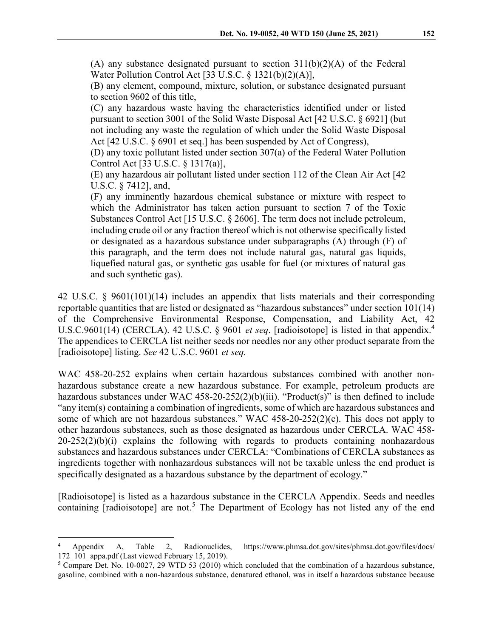(A) any substance designated pursuant to section  $311(b)(2)(A)$  of the Federal Water Pollution Control Act [33 U.S.C. § 1321(b)(2)(A)],

(B) any element, compound, mixture, solution, or substance designated pursuant to section 9602 of this title,

(C) any hazardous waste having the characteristics identified under or listed pursuant to section 3001 of the Solid Waste Disposal Act [42 U.S.C. § 6921] (but not including any waste the regulation of which under the Solid Waste Disposal Act [42 U.S.C. § 6901 et seq.] has been suspended by Act of Congress),

(D) any toxic pollutant listed under section 307(a) of the Federal Water Pollution Control Act [33 U.S.C. § 1317(a)],

(E) any hazardous air pollutant listed under section 112 of the Clean Air Act [42 U.S.C. § 7412], and,

(F) any imminently hazardous chemical substance or mixture with respect to which the Administrator has taken action pursuant to section 7 of the Toxic Substances Control Act [15 U.S.C. § 2606]. The term does not include petroleum, including crude oil or any fraction thereof which is not otherwise specifically listed or designated as a hazardous substance under subparagraphs (A) through (F) of this paragraph, and the term does not include natural gas, natural gas liquids, liquefied natural gas, or synthetic gas usable for fuel (or mixtures of natural gas and such synthetic gas).

42 U.S.C. § 9601(101)(14) includes an appendix that lists materials and their corresponding reportable quantities that are listed or designated as "hazardous substances" under section 101(14) of the Comprehensive Environmental Response, Compensation, and Liability Act, 42 U.S.C.9601(14) (CERCLA). 42 U.S.C. § 9601 *et seq*. [radioisotope] is listed in that appendix.[4](#page-2-0) The appendices to CERCLA list neither seeds nor needles nor any other product separate from the [radioisotope] listing. *See* 42 U.S.C. 9601 *et seq.*

WAC 458-20-252 explains when certain hazardous substances combined with another nonhazardous substance create a new hazardous substance. For example, petroleum products are hazardous substances under WAC  $458-20-252(2)(b)(iii)$ . "Product(s)" is then defined to include "any item(s) containing a combination of ingredients, some of which are hazardous substances and some of which are not hazardous substances." WAC 458-20-252(2)(c). This does not apply to other hazardous substances, such as those designated as hazardous under CERCLA. WAC 458- 20-252(2)(b)(i) explains the following with regards to products containing nonhazardous substances and hazardous substances under CERCLA: "Combinations of CERCLA substances as ingredients together with nonhazardous substances will not be taxable unless the end product is specifically designated as a hazardous substance by the department of ecology."

[Radioisotope] is listed as a hazardous substance in the CERCLA Appendix. Seeds and needles containing  $[\text{radio}$  isotope] are not.<sup>[5](#page-2-1)</sup> The Department of Ecology has not listed any of the end

<span id="page-2-0"></span> <sup>4</sup> Appendix A, Table 2, Radionuclides, https://www.phmsa.dot.gov/sites/phmsa.dot.gov/files/docs/ 172 101 appa.pdf (Last viewed February 15, 2019).

<span id="page-2-1"></span><sup>5</sup> Compare Det. No. 10-0027, 29 WTD 53 (2010) which concluded that the combination of a hazardous substance, gasoline, combined with a non-hazardous substance, denatured ethanol, was in itself a hazardous substance because